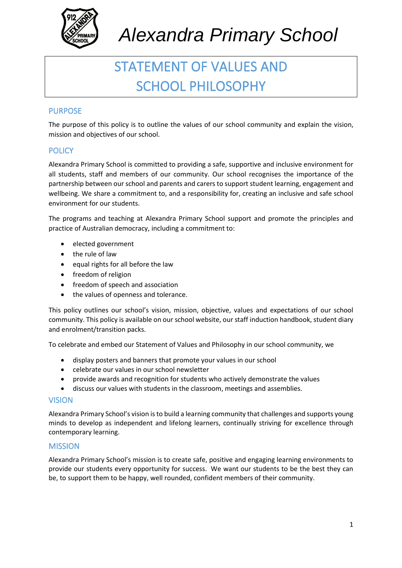

### STATEMENT OF VALUES AND SCHOOL PHILOSOPHY

### PURPOSE

The purpose of this policy is to outline the values of our school community and explain the vision, mission and objectives of our school.

#### **POLICY**

Alexandra Primary School is committed to providing a safe, supportive and inclusive environment for all students, staff and members of our community. Our school recognises the importance of the partnership between our school and parents and carers to support student learning, engagement and wellbeing. We share a commitment to, and a responsibility for, creating an inclusive and safe school environment for our students.

The programs and teaching at Alexandra Primary School support and promote the principles and practice of Australian democracy, including a commitment to:

- elected government
- the rule of law
- equal rights for all before the law
- freedom of religion
- freedom of speech and association
- the values of openness and tolerance.

This policy outlines our school's vision, mission, objective, values and expectations of our school community. This policy is available on our school website, our staff induction handbook, student diary and enrolment/transition packs.

To celebrate and embed our Statement of Values and Philosophy in our school community, we

- display posters and banners that promote your values in our school
- celebrate our values in our school newsletter
- provide awards and recognition for students who actively demonstrate the values
- discuss our values with students in the classroom, meetings and assemblies.

#### VISION

Alexandra Primary School's vision is to build a learning community that challenges and supports young minds to develop as independent and lifelong learners, continually striving for excellence through contemporary learning.

#### MISSION

Alexandra Primary School's mission is to create safe, positive and engaging learning environments to provide our students every opportunity for success. We want our students to be the best they can be, to support them to be happy, well rounded, confident members of their community.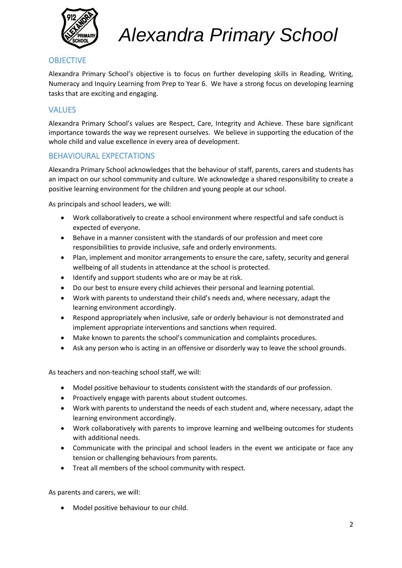

### **OBJECTIVE**

Alexandra Primary School's objective is to focus on further developing skills in Reading, Writing, Numeracy and Inquiry Learning from Prep to Year 6. We have a strong focus on developing learning tasks that are exciting and engaging.

#### VALUES

Alexandra Primary School's values are Respect, Care, Integrity and Achieve. These bare significant importance towards the way we represent ourselves. We believe in supporting the education of the whole child and value excellence in every area of development.

#### BEHAVIOURAL EXPECTATIONS

Alexandra Primary School acknowledges that the behaviour of staff, parents, carers and students has an impact on our school community and culture. We acknowledge a shared responsibility to create a positive learning environment for the children and young people at our school.

As principals and school leaders, we will:

- Work collaboratively to create a school environment where respectful and safe conduct is expected of everyone.
- Behave in a manner consistent with the standards of our profession and meet core responsibilities to provide inclusive, safe and orderly environments.
- Plan, implement and monitor arrangements to ensure the care, safety, security and general wellbeing of all students in attendance at the school is protected.
- Identify and support students who are or may be at risk.
- Do our best to ensure every child achieves their personal and learning potential.
- Work with parents to understand their child's needs and, where necessary, adapt the learning environment accordingly.
- Respond appropriately when inclusive, safe or orderly behaviour is not demonstrated and implement appropriate interventions and sanctions when required.
- Make known to parents the school's communication and complaints procedures.
- Ask any person who is acting in an offensive or disorderly way to leave the school grounds.

As teachers and non-teaching school staff, we will:

- Model positive behaviour to students consistent with the standards of our profession.
- Proactively engage with parents about student outcomes.
- Work with parents to understand the needs of each student and, where necessary, adapt the learning environment accordingly.
- Work collaboratively with parents to improve learning and wellbeing outcomes for students with additional needs.
- Communicate with the principal and school leaders in the event we anticipate or face any tension or challenging behaviours from parents.
- Treat all members of the school community with respect.

As parents and carers, we will:

• Model positive behaviour to our child.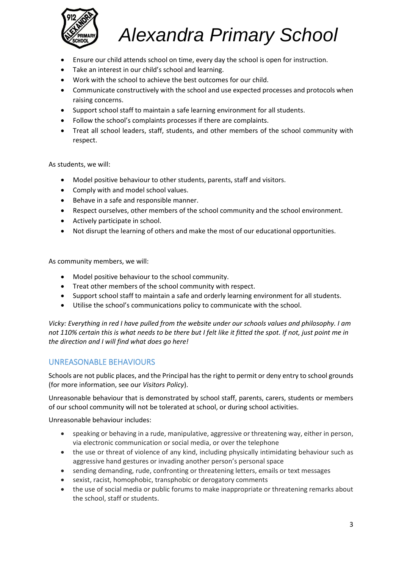

- Ensure our child attends school on time, every day the school is open for instruction.
- Take an interest in our child's school and learning.
- Work with the school to achieve the best outcomes for our child.
- Communicate constructively with the school and use expected processes and protocols when raising concerns.
- Support school staff to maintain a safe learning environment for all students.
- Follow the school's complaints processes if there are complaints.
- Treat all school leaders, staff, students, and other members of the school community with respect.

As students, we will:

- Model positive behaviour to other students, parents, staff and visitors.
- Comply with and model school values.
- Behave in a safe and responsible manner.
- Respect ourselves, other members of the school community and the school environment.
- Actively participate in school.
- Not disrupt the learning of others and make the most of our educational opportunities.

As community members, we will:

- Model positive behaviour to the school community.
- Treat other members of the school community with respect.
- Support school staff to maintain a safe and orderly learning environment for all students.
- Utilise the school's communications policy to communicate with the school.

*Vicky: Everything in red I have pulled from the website under our schools values and philosophy. I am not 110% certain this is what needs to be there but I felt like it fitted the spot. If not, just point me in the direction and I will find what does go here!*

#### UNREASONABLE BEHAVIOURS

Schools are not public places, and the Principal has the right to permit or deny entry to school grounds (for more information, see our *Visitors Policy*).

Unreasonable behaviour that is demonstrated by school staff, parents, carers, students or members of our school community will not be tolerated at school, or during school activities.

Unreasonable behaviour includes:

- speaking or behaving in a rude, manipulative, aggressive or threatening way, either in person, via electronic communication or social media, or over the telephone
- the use or threat of violence of any kind, including physically intimidating behaviour such as aggressive hand gestures or invading another person's personal space
- sending demanding, rude, confronting or threatening letters, emails or text messages
- sexist, racist, homophobic, transphobic or derogatory comments
- the use of social media or public forums to make inappropriate or threatening remarks about the school, staff or students.